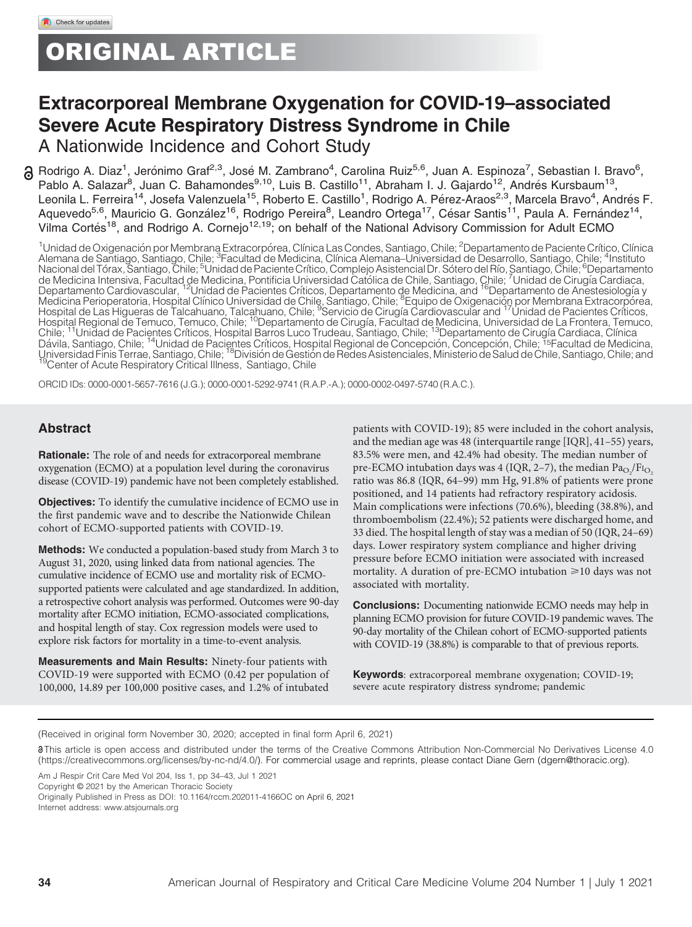# ORIGINAL ARTICLE

## Extracorporeal Membrane Oxygenation for COVID-19–associated Severe Acute Respiratory Distress Syndrome in Chile

A Nationwide Incidence and Cohort Study

Rodrigo A. Diaz<sup>1</sup>, Jerónimo Graf<sup>2,3</sup>, José M. Zambrano<sup>4</sup>, Carolina Ruiz<sup>5,6</sup>, Juan A. Espinoza<sup>7</sup>, Sebastian I. Bravo<sup>6</sup>, Pablo A. Salazar<sup>8</sup>, Juan C. Bahamondes<sup>9,10</sup>, Luis B. Castillo<sup>11</sup>, Abraham I. J. Gajardo<sup>12</sup>, Andrés Kursbaum<sup>13</sup>, Leonila L. Ferreira<sup>14</sup>, Josefa Valenzuela<sup>15</sup>, Roberto E. Castillo<sup>1</sup>, Rodrigo A. Pérez-Araos<sup>2,3</sup>, Marcela Bravo<sup>4</sup>, Andrés F. Aquevedo<sup>5,6</sup>, Mauricio G. González<sup>16</sup>, Rodrigo Pereira<sup>8</sup>, Leandro Ortega<sup>17</sup>, César Santis<sup>11</sup>, Paula A. Fernández<sup>14</sup>, Vilma Cortés<sup>18</sup>, and Rodrigo A. Cornejo<sup>12,19</sup>; on behalf of the National Advisory Commission for Adult ECMO

<sup>1</sup>Unidad de Oxigenación por Membrana Extracorpórea, Clínica Las Condes, Santiago, Chile; <sup>2</sup>Departamento de Paciente Crítico, Clínica<br>Alemana de Santiago, Santiago, Chile; <sup>3</sup>Facultad de Medicina, Clínica Alemana–Universi Medicina Perioperatoria, Hospital Clínico Universidad de Chile, Santiago, Chile; <sup>8</sup>Equipo de Oxigenación por Membrana Extracorporea,<br>Hospital de Las Higueras de Talcahuano, Talcahuano, Chile; <sup>9</sup>Servicio de Cirugía Cardio Hospital Regional de Temuco, Temuco, Chile; 10Departamento de Cirugıa, Facultad de Medicina, Universidad de La Frontera, Temuco, Chile; 11Unidad de Pacientes Crıticos, Hospital Barros Luco Trudeau, Santiago, Chile; 13Departamento de Cirugıa Cardiaca, Clınica Davila, Santiago, Chile; 14Unidad de Pacientes Crıticos, Hospital Regional de Concepcion, Concepci on, Chile; 15Facultad de Medicina, Universidad Finis Terrae, Santiago, Chile; <sup>18</sup>División de Gestión de Redes Asistenciales, Ministerio de Salud de Chile, Santiago, Chile; and<br><sup>19</sup>Center of Acute Respiratory Critical Illness, Santiago, Chile

ORCID IDs: [0000-0001-5657-7616](http://orcid.org/0000-0001-5657-7616) (J.G.); [0000-0001-5292-9741](http://orcid.org/0000-0001-5292-9741) (R.A.P.-A.); [0000-0002-0497-5740](http://orcid.org/0000-0002-0497-5740) (R.A.C.).

## Abstract

Rationale: The role of and needs for extracorporeal membrane oxygenation (ECMO) at a population level during the coronavirus disease (COVID-19) pandemic have not been completely established.

Objectives: To identify the cumulative incidence of ECMO use in the first pandemic wave and to describe the Nationwide Chilean cohort of ECMO-supported patients with COVID-19.

Methods: We conducted a population-based study from March 3 to August 31, 2020, using linked data from national agencies. The cumulative incidence of ECMO use and mortality risk of ECMOsupported patients were calculated and age standardized. In addition, a retrospective cohort analysis was performed. Outcomes were 90-day mortality after ECMO initiation, ECMO-associated complications, and hospital length of stay. Cox regression models were used to explore risk factors for mortality in a time-to-event analysis.

Measurements and Main Results: Ninety-four patients with COVID-19 were supported with ECMO (0.42 per population of 100,000, 14.89 per 100,000 positive cases, and 1.2% of intubated

patients with COVID-19); 85 were included in the cohort analysis, and the median age was 48 (interquartile range [IQR], 41–55) years, 83.5% were men, and 42.4% had obesity. The median number of pre-ECMO intubation days was 4 (IQR, 2–7), the median  $\text{Pa}_{\text{O}_2}/\text{Fi}_{\text{O}_2}$ ratio was 86.8 (IQR, 64–99) mm Hg, 91.8% of patients were prone positioned, and 14 patients had refractory respiratory acidosis. Main complications were infections (70.6%), bleeding (38.8%), and thromboembolism (22.4%); 52 patients were discharged home, and 33 died. The hospital length of stay was a median of 50 (IQR, 24–69) days. Lower respiratory system compliance and higher driving pressure before ECMO initiation were associated with increased mortality. A duration of pre-ECMO intubation  $\geq 10$  days was not associated with mortality.

Conclusions: Documenting nationwide ECMO needs may help in planning ECMO provision for future COVID-19 pandemic waves. The 90-day mortality of the Chilean cohort of ECMO-supported patients with COVID-19 (38.8%) is comparable to that of previous reports.

Keywords: extracorporeal membrane oxygenation; COVID-19; severe acute respiratory distress syndrome; pandemic

This article is open access and distributed under the terms of the Creative Commons Attribution Non-Commercial No Derivatives License 4.0 ([https://creativecommons.org/licenses/by-nc-nd/4.0/\)](https://creativecommons.org/licenses/by-nc-nd/4.0/). For commercial usage and reprints, please contact Diane Gern [\(dgern@thoracic.org\)](mailto:dgern@thoracic.org).

Copyright © 2021 by the American Thoracic Society

Internet address: www:[atsjournals](http://www.atsjournals.org):org

<sup>(</sup>Received in original form November 30, 2020; accepted in final form April 6, 2021)

Am J Respir Crit Care Med Vol 204, Iss 1, pp 34–43, Jul 1 2021

Originally Published in Press as DOI: [10.1164/rccm.202011-4166OC](https://dx.doi.org/10.1164/rccm.202011-4166OC) on April 6, 2021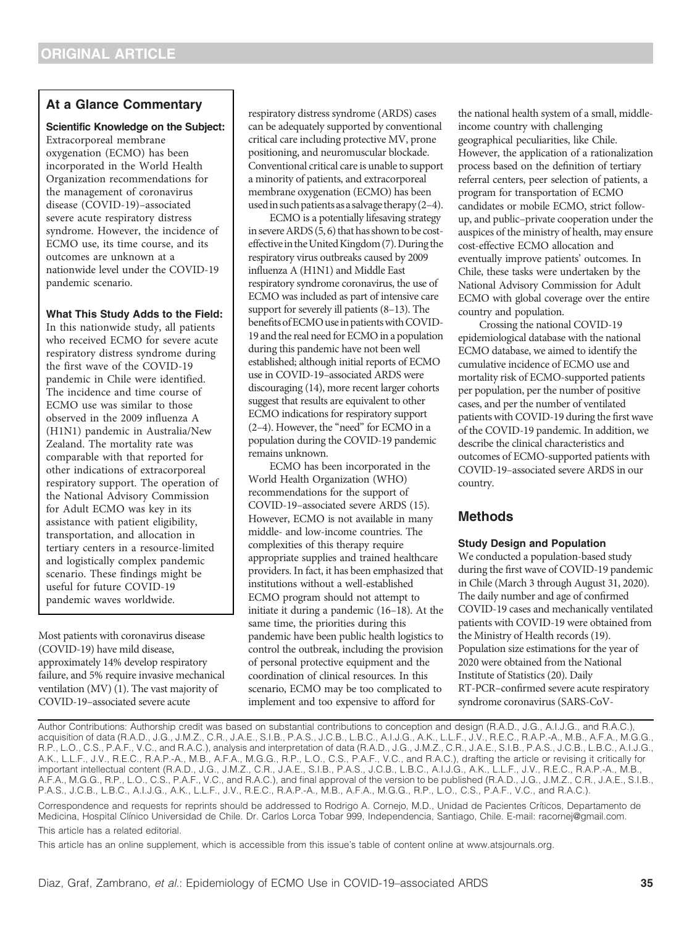## At a Glance Commentary

#### Scientific Knowledge on the Subject:

Extracorporeal membrane oxygenation (ECMO) has been incorporated in the World Health Organization recommendations for the management of coronavirus disease (COVID-19)–associated severe acute respiratory distress syndrome. However, the incidence of ECMO use, its time course, and its outcomes are unknown at a nationwide level under the COVID-19 pandemic scenario.

#### What This Study Adds to the Field:

In this nationwide study, all patients who received ECMO for severe acute respiratory distress syndrome during the first wave of the COVID-19 pandemic in Chile were identified. The incidence and time course of ECMO use was similar to those observed in the 2009 influenza A (H1N1) pandemic in Australia/New Zealand. The mortality rate was comparable with that reported for other indications of extracorporeal respiratory support. The operation of the National Advisory Commission for Adult ECMO was key in its assistance with patient eligibility, transportation, and allocation in tertiary centers in a resource-limited and logistically complex pandemic scenario. These findings might be useful for future COVID-19 pandemic waves worldwide.

Most patients with coronavirus disease (COVID-19) have mild disease, approximately 14% develop respiratory failure, and 5% require invasive mechanical ventilation (MV) [\(1\)](#page-8-0). The vast majority of COVID-19–associated severe acute

respiratory distress syndrome (ARDS) cases can be adequately supported by conventional critical care including protective MV, prone positioning, and neuromuscular blockade. Conventional critical care is unable to support a minority of patients, and extracorporeal membrane oxygenation (ECMO) has been used in such patients as a salvage therapy  $(2-4)$ .

ECMO is a potentially lifesaving strategy in severe ARDS  $(5, 6)$  $(5, 6)$  $(5, 6)$  that has shown to be cost-effective in the United Kingdom [\(7](#page-8-0)). During the respiratory virus outbreaks caused by 2009 influenza A (H1N1) and Middle East respiratory syndrome coronavirus, the use of ECMO was included as part of intensive care support for severely ill patients (8–[13\)](#page-8-0). The benefits of ECMO use in patients with COVID-19 and the real need for ECMO in a population during this pandemic have not been well established; although initial reports of ECMO use in COVID-19–associated ARDS were discouraging [\(14\)](#page-8-0), more recent larger cohorts suggest that results are equivalent to other ECMO indications for respiratory support (2[–](#page-8-0)4). However, the "need" for ECMO in a population during the COVID-19 pandemic remains unknown.

ECMO has been incorporated in the World Health Organization (WHO) recommendations for the support of COVID-19–associated severe ARDS [\(15](#page-8-0)). However, ECMO is not available in many middle- and low-income countries. The complexities of this therapy require appropriate supplies and trained healthcare providers. In fact, it has been emphasized that institutions without a well-established ECMO program should not attempt to initiate it during a pandemic (16–[18\)](#page-8-0). At the same time, the priorities during this pandemic have been public health logistics to control the outbreak, including the provision of personal protective equipment and the coordination of clinical resources. In this scenario, ECMO may be too complicated to implement and too expensive to afford for

the national health system of a small, middleincome country with challenging geographical peculiarities, like Chile. However, the application of a rationalization process based on the definition of tertiary referral centers, peer selection of patients, a program for transportation of ECMO candidates or mobile ECMO, strict followup, and public–private cooperation under the auspices of the ministry of health, may ensure cost-effective ECMO allocation and eventually improve patients' outcomes. In Chile, these tasks were undertaken by the National Advisory Commission for Adult ECMO with global coverage over the entire country and population.

Crossing the national COVID-19 epidemiological database with the national ECMO database, we aimed to identify the cumulative incidence of ECMO use and mortality risk of ECMO-supported patients per population, per the number of positive cases, and per the number of ventilated patients with COVID-19 during the first wave of the COVID-19 pandemic. In addition, we describe the clinical characteristics and outcomes of ECMO-supported patients with COVID-19–associated severe ARDS in our country.

## Methods

#### Study Design and Population

We conducted a population-based study during the first wave of COVID-19 pandemic in Chile (March 3 through August 31, 2020). The daily number and age of confirmed COVID-19 cases and mechanically ventilated patients with COVID-19 were obtained from the Ministry of Health records ([19](#page-8-0)). Population size estimations for the year of 2020 were obtained from the National Institute of Statistics [\(20\)](#page-8-0). Daily RT-PCR–confirmed severe acute respiratory syndrome coronavirus (SARS-CoV-

Author Contributions: Authorship credit was based on substantial contributions to conception and design (R.A.D., J.G., A.I.J.G., and R.A.C.), acquisition of data (R.A.D., J.G., J.M.Z., C.R., J.A.E., S.I.B., P.A.S., J.C.B., L.B.C., A.I.J.G., A.K., L.L.F., J.V., R.E.C., R.A.P.-A., M.B., A.F.A., M.G.G., R.P., L.O., C.S., P.A.F., V.C., and R.A.C.), analysis and interpretation of data (R.A.D., J.G., J.M.Z., C.R., J.A.E., S.I.B., P.A.S., J.C.B., L.B.C., A.I.J.G., A.K., L.L.F., J.V., R.E.C., R.A.P.-A., M.B., A.F.A., M.G.G., R.P., L.O., C.S., P.A.F., V.C., and R.A.C.), drafting the article or revising it critically for important intellectual content (R.A.D., J.G., J.M.Z., C.R., J.A.E., S.I.B., P.A.S., J.C.B., L.B.C., A.I.J.G., A.K., L.L.F., J.V., R.E.C., R.A.P.-A., M.B., A.F.A., M.G.G., R.P., L.O., C.S., P.A.F., V.C., and R.A.C.), and final approval of the version to be published (R.A.D., J.G., J.M.Z., C.R., J.A.E., S.I.B., P.A.S., J.C.B., L.B.C., A.I.J.G., A.K., L.L.F., J.V., R.E.C., R.A.P.-A., M.B., A.F.A., M.G.G., R.P., L.O., C.S., P.A.F., V.C., and R.A.C.). Correspondence and requests for reprints should be addressed to Rodrigo A. Cornejo, M.D., Unidad de Pacientes Crıticos, Departamento de Medicina, Hospital Clínico Universidad de Chile. Dr. Carlos Lorca Tobar 999, Independencia, Santiago, Chile. E-mail: [racornej@gmail.com.](mailto:racornej@gmail.com) [This article has a related editorial.](http://dx.doi.org/10.1164/rccm.202104-0897ED)

This article has an online supplement, which is accessible from this issue's table of content online at [www.atsjournals.org.](http://www.atsjournals.org)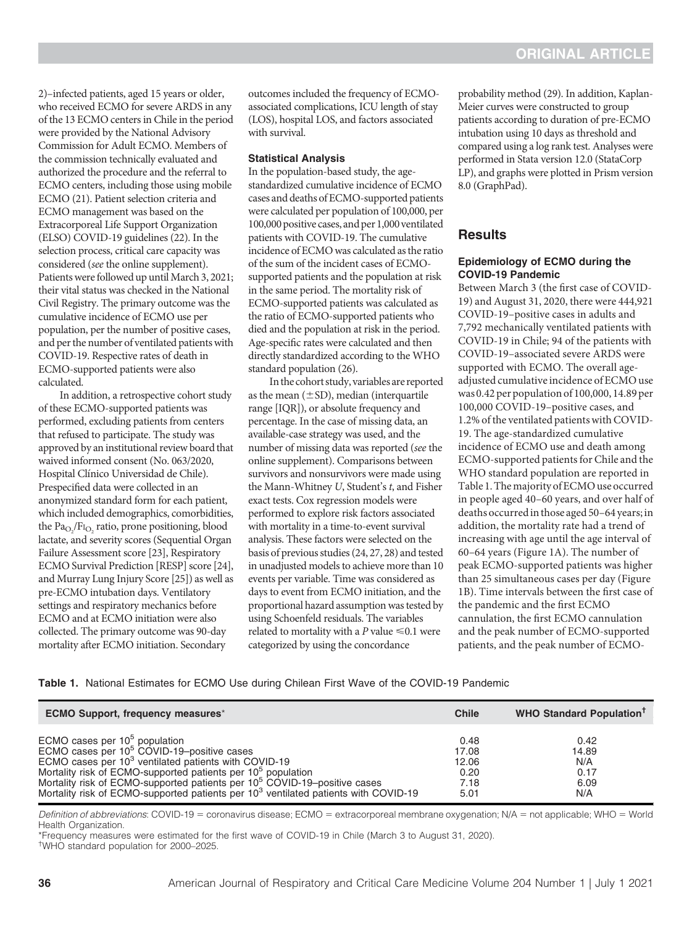<span id="page-2-0"></span>2)–infected patients, aged 15 years or older, who received ECMO for severe ARDS in any of the 13 ECMO centers in Chile in the period were provided by the National Advisory Commission for Adult ECMO. Members of the commission technically evaluated and authorized the procedure and the referral to ECMO centers, including those using mobile ECMO [\(21\)](#page-8-0). Patient selection criteria and ECMO management was based on the Extracorporeal Life Support Organization (ELSO) COVID-19 guidelines [\(22\)](#page-8-0). In the selection process, critical care capacity was considered (see the online supplement). Patients were followed up until March 3, 2021; their vital status was checked in the National Civil Registry. The primary outcome was the cumulative incidence of ECMO use per population, per the number of positive cases, and per the number of ventilated patients with COVID-19. Respective rates of death in ECMO-supported patients were also calculated.

In addition, a retrospective cohort study of these ECMO-supported patients was performed, excluding patients from centers that refused to participate. The study was approved by an institutional review board that waived informed consent (No. 063/2020, Hospital Clínico Universidad de Chile). Prespecified data were collected in an anonymized standard form for each patient, which included demographics, comorbidities, the  $\text{Pa}_{\text{O}_2}/\text{Fi}_{\text{O}_2}$  ratio, prone positioning, blood lactate, and severity scores (Sequential Organ Failure Assessment score [\[23](#page-8-0)], Respiratory ECMO Survival Prediction [RESP] score [[24](#page-8-0)], and Murray Lung Injury Score [[25\]](#page-8-0)) as well as pre-ECMO intubation days. Ventilatory settings and respiratory mechanics before ECMO and at ECMO initiation were also collected. The primary outcome was 90-day mortality after ECMO initiation. Secondary

outcomes included the frequency of ECMOassociated complications, ICU length of stay (LOS), hospital LOS, and factors associated with survival.

#### Statistical Analysis

In the population-based study, the agestandardized cumulative incidence of ECMO cases and deaths of ECMO-supported patients were calculated per population of 100,000, per 100,000 positive cases, and per 1,000 ventilated patients with COVID-19. The cumulative incidence of ECMO was calculated as the ratio of the sum of the incident cases of ECMOsupported patients and the population at risk in the same period. The mortality risk of ECMO-supported patients was calculated as the ratio of ECMO-supported patients who died and the population at risk in the period. Age-specific rates were calculated and then directly standardized according to the WHO standard population [\(26\)](#page-8-0).

In the cohort study, variables are reported as the mean  $(\pm SD)$ , median (interquartile range [IQR]), or absolute frequency and percentage. In the case of missing data, an available-case strategy was used, and the number of missing data was reported (see the online supplement). Comparisons between survivors and nonsurvivors were made using the Mann-Whitney U, Student's t, and Fisher exact tests. Cox regression models were performed to explore risk factors associated with mortality in a time-to-event survival analysis. These factors were selected on the basis of previous studies [\(24](#page-8-0), [27](#page-8-0), [28\)](#page-8-0) and tested in unadjusted models to achieve more than 10 events per variable. Time was considered as days to event from ECMO initiation, and the proportional hazard assumption was tested by using Schoenfeld residuals. The variables related to mortality with a  $P$  value  $\leq 0.1$  were categorized by using the concordance

probability method ([29](#page-8-0)). In addition, Kaplan-Meier curves were constructed to group patients according to duration of pre-ECMO intubation using 10 days as threshold and compared using a log rank test. Analyses were performed in Stata version 12.0 (StataCorp LP), and graphs were plotted in Prism version 8.0 (GraphPad).

### Results

#### Epidemiology of ECMO during the COVID-19 Pandemic

Between March 3 (the first case of COVID-19) and August 31, 2020, there were 444,921 COVID-19–positive cases in adults and 7,792 mechanically ventilated patients with COVID-19 in Chile; 94 of the patients with COVID-19–associated severe ARDS were supported with ECMO. The overall ageadjusted cumulative incidence of ECMO use was 0.42 per population of 100,000, 14.89 per 100,000 COVID-19–positive cases, and 1.2% of the ventilated patients with COVID-19. The age-standardized cumulative incidence of ECMO use and death among ECMO-supported patients for Chile and the WHO standard population are reported in Table 1. The majority of ECMO use occurred in people aged 40–60 years, and over half of deaths occurredin those aged 50–64 years;in addition, the mortality rate had a trend of increasing with age until the age interval of 60–64 years [\(Figure 1A](#page-3-0)). The number of peak ECMO-supported patients was higher than 25 simultaneous cases per day ([Figure](#page-3-0) [1B](#page-3-0)). Time intervals between the first case of the pandemic and the first ECMO cannulation, the first ECMO cannulation and the peak number of ECMO-supported patients, and the peak number of ECMO-

|  |  |  |  |  | Table 1. National Estimates for ECMO Use during Chilean First Wave of the COVID-19 Pandemic |
|--|--|--|--|--|---------------------------------------------------------------------------------------------|
|--|--|--|--|--|---------------------------------------------------------------------------------------------|

| <b>ECMO Support, frequency measures*</b>                                                        | <b>Chile</b> | <b>WHO Standard Population<sup>†</sup></b> |
|-------------------------------------------------------------------------------------------------|--------------|--------------------------------------------|
| ECMO cases per $10^5$ population                                                                | 0.48         | 0.42                                       |
| ECMO cases per 10 <sup>5</sup> COVID-19-positive cases                                          | 17.08        | 14.89                                      |
| ECMO cases per 10 <sup>3</sup> ventilated patients with COVID-19                                | 12.06        | N/A                                        |
| Mortality risk of ECMO-supported patients per 10 <sup>5</sup> population                        | 0.20         | 0.17                                       |
| Mortality risk of ECMO-supported patients per 10 <sup>5</sup> COVID-19-positive cases           | 7.18         | 6.09                                       |
| Mortality risk of ECMO-supported patients per 10 <sup>3</sup> ventilated patients with COVID-19 | 5.01         | N/A                                        |

Definition of abbreviations: COVID-19 = coronavirus disease; ECMO = extracorporeal membrane oxygenation; N/A = not applicable; WHO = World Health Organization.

\*Frequency measures were estimated for the first wave of COVID-19 in Chile (March 3 to August 31, 2020).

† WHO standard population for 2000–2025.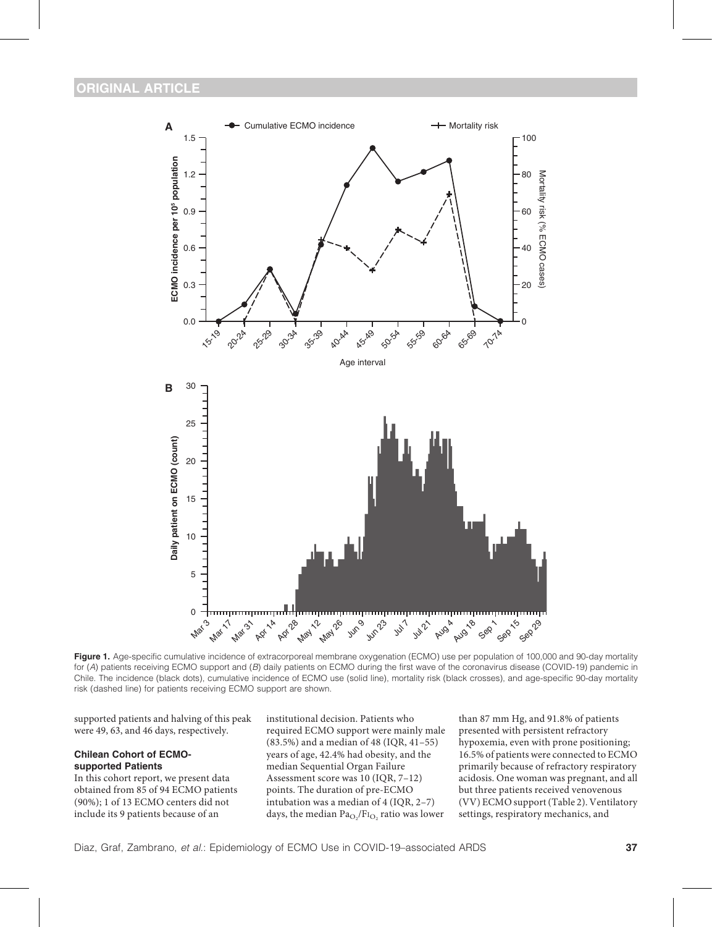<span id="page-3-0"></span>

Figure 1. Age-specific cumulative incidence of extracorporeal membrane oxygenation (ECMO) use per population of 100,000 and 90-day mortality for (A) patients receiving ECMO support and (B) daily patients on ECMO during the first wave of the coronavirus disease (COVID-19) pandemic in Chile. The incidence (black dots), cumulative incidence of ECMO use (solid line), mortality risk (black crosses), and age-specific 90-day mortality risk (dashed line) for patients receiving ECMO support are shown.

supported patients and halving of this peak were 49, 63, and 46 days, respectively.

#### Chilean Cohort of ECMOsupported Patients

In this cohort report, we present data obtained from 85 of 94 ECMO patients (90%); 1 of 13 ECMO centers did not include its 9 patients because of an

institutional decision. Patients who required ECMO support were mainly male (83.5%) and a median of 48 (IQR, 41–55) years of age, 42.4% had obesity, and the median Sequential Organ Failure Assessment score was 10 (IQR, 7–12) points. The duration of pre-ECMO intubation was a median of 4 (IQR, 2–7) days, the median  $\text{Pa}_{\text{O}_2}/\text{Fi}_{\text{O}_2}$  ratio was lower

than 87 mm Hg, and 91.8% of patients presented with persistent refractory hypoxemia, even with prone positioning; 16.5% of patients were connected to ECMO primarily because of refractory respiratory acidosis. One woman was pregnant, and all but three patients received venovenous (VV) ECMO support (Table 2). Ventilatory settings, respiratory mechanics, and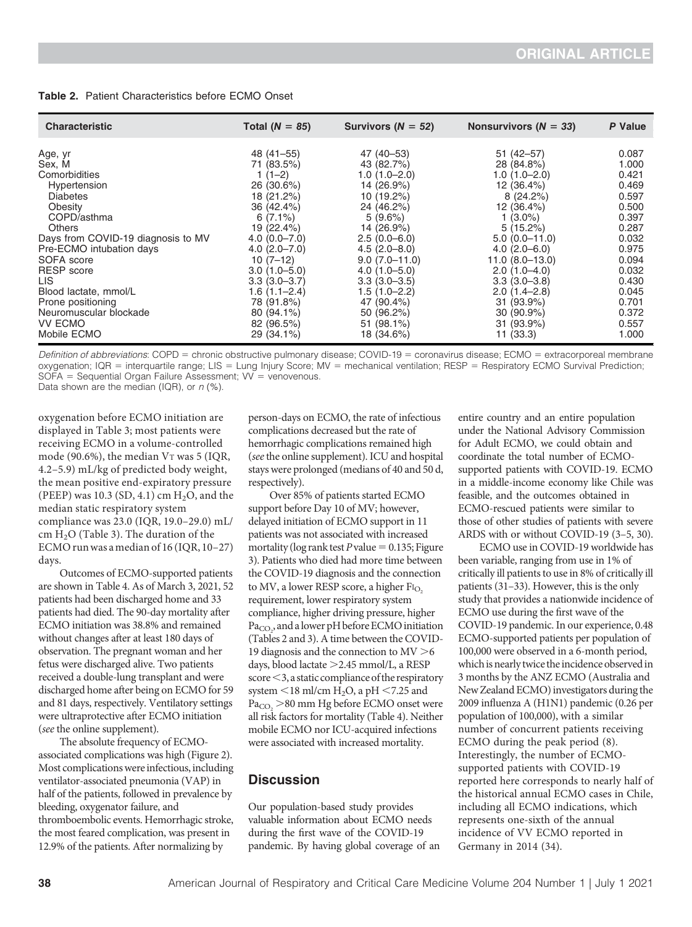| <b>Table 2.</b> Patient Characteristics before ECMO Onset |
|-----------------------------------------------------------|
|-----------------------------------------------------------|

| <b>Characteristic</b>              | Total $(N = 85)$ | Survivors ( $N = 52$ ) | Nonsurvivors ( $N = 33$ ) | P Value |
|------------------------------------|------------------|------------------------|---------------------------|---------|
| Age, yr                            | 48 (41–55)       | 47 (40–53)             | $51(42 - 57)$             | 0.087   |
| Sex, M                             | 71 (83.5%)       | 43 (82.7%)             | 28 (84.8%)                | 1.000   |
| Comorbidities                      | $1(1-2)$         | $1.0(1.0 - 2.0)$       | $1.0(1.0 - 2.0)$          | 0.421   |
| Hypertension                       | 26 (30.6%)       | 14 (26.9%)             | 12 (36.4%)                | 0.469   |
| <b>Diabetes</b>                    | 18 (21.2%)       | 10 (19.2%)             | 8(24.2%)                  | 0.597   |
| Obesity                            | 36 (42.4%)       | 24 (46.2%)             | 12 (36.4%)                | 0.500   |
| COPD/asthma                        | $6(7.1\%)$       | 5(9.6%)                | $1(3.0\%)$                | 0.397   |
| <b>Others</b>                      | 19 (22.4%)       | 14 (26.9%)             | $5(15.2\%)$               | 0.287   |
| Days from COVID-19 diagnosis to MV | $4.0(0.0 - 7.0)$ | $2.5(0.0-6.0)$         | $5.0(0.0-11.0)$           | 0.032   |
| Pre-ECMO intubation days           | $4.0(2.0 - 7.0)$ | $4.5(2.0 - 8.0)$       | $4.0(2.0 - 6.0)$          | 0.975   |
| SOFA score                         | $10(7-12)$       | $9.0(7.0 - 11.0)$      | $11.0 (8.0 - 13.0)$       | 0.094   |
| <b>RESP</b> score                  | $3.0(1.0 - 5.0)$ | $4.0(1.0 - 5.0)$       | $2.0(1.0-4.0)$            | 0.032   |
| LIS.                               | $3.3(3.0 - 3.7)$ | $3.3(3.0 - 3.5)$       | $3.3(3.0-3.8)$            | 0.430   |
| Blood lactate, mmol/L              | $1.6(1.1 - 2.4)$ | $1.5(1.0-2.2)$         | $2.0(1.4-2.8)$            | 0.045   |
| Prone positioning                  | 78 (91.8%)       | 47 (90.4%)             | 31 (93.9%)                | 0.701   |
| Neuromuscular blockade             | 80 (94.1%)       | 50 (96.2%)             | $30(90.9\%)$              | 0.372   |
| <b>VV ECMO</b>                     | 82 (96.5%)       | 51 (98.1%)             | 31 (93.9%)                | 0.557   |
| Mobile ECMO                        | 29 (34.1%)       | 18 (34.6%)             | 11(33.3)                  | 1.000   |

Definition of abbreviations: COPD = chronic obstructive pulmonary disease; COVID-19 = coronavirus disease; ECMO = extracorporeal membrane oxygenation; IQR = interquartile range; LIS = Lung Injury Score; MV = mechanical ventilation; RESP = Respiratory ECMO Survival Prediction;  $SOFA = Sequential Organ Failure Assessment; VV = venovenous.$ 

Data shown are the median (IQR), or  $n$  (%).

oxygenation before ECMO initiation are displayed in [Table 3;](#page-5-0) most patients were receiving ECMO in a volume-controlled mode (90.6%), the median VT was 5 (IQR, 4.2–5.9) mL/kg of predicted body weight, the mean positive end-expiratory pressure (PEEP) was 10.3 (SD, 4.1) cm  $H<sub>2</sub>O$ , and the median static respiratory system compliance was 23.0 (IQR, 19.0–29.0) mL/ cm  $H<sub>2</sub>O$  ([Table 3](#page-5-0)). The duration of the ECMO runwas amedian of 16 (IQR, 10–27) days.

Outcomes of ECMO-supported patients are shown in [Table 4.](#page-5-0) As of March 3, 2021, 52 patients had been discharged home and 33 patients had died. The 90-day mortality after ECMO initiation was 38.8% and remained without changes after at least 180 days of observation. The pregnant woman and her fetus were discharged alive. Two patients received a double-lung transplant and were discharged home after being on ECMO for 59 and 81 days, respectively. Ventilatory settings were ultraprotective after ECMO initiation (see the online supplement).

The absolute frequency of ECMOassociated complications was high [\(Figure 2](#page-6-0)). Most complications were infectious, including ventilator-associated pneumonia (VAP) in half of the patients, followed in prevalence by bleeding, oxygenator failure, and thromboembolic events. Hemorrhagic stroke, the most feared complication, was present in 12.9% of the patients. After normalizing by

person-days on ECMO, the rate of infectious complications decreased but the rate of hemorrhagic complications remained high (see the online supplement). ICU and hospital stays were prolonged (medians of 40 and 50 d, respectively).

Over 85% of patients started ECMO support before Day 10 of MV; however, delayed initiation of ECMO support in 11 patients was not associated with increased mortality (log rank test P value =  $0.135$ ; [Figure](#page-6-0) [3](#page-6-0)). Patients who died had more time between the COVID-19 diagnosis and the connection to MV, a lower RESP score, a higher FI<sub>O2</sub> requirement, lower respiratory system compliance, higher driving pressure, higher  $\text{Pa}_{\text{CO}_2}$ , and a lower pH before ECMO initiation (Tables 2 and [3](#page-5-0)). A time between the COVID-19 diagnosis and the connection to  $MV > 6$ days, blood lactate > 2.45 mmol/L, a RESP  $score < 3$ , a static compliance of the respiratory system  $<$  18 ml/cm H<sub>2</sub>O, a pH  $<$  7.25 and  $Pa<sub>CO</sub> > 80$  mm Hg before ECMO onset were all risk factors for mortality [\(Table 4\)](#page-5-0). Neither mobile ECMO nor ICU-acquired infections were associated with increased mortality.

## **Discussion**

Our population-based study provides valuable information about ECMO needs during the first wave of the COVID-19 pandemic. By having global coverage of an entire country and an entire population under the National Advisory Commission for Adult ECMO, we could obtain and coordinate the total number of ECMOsupported patients with COVID-19. ECMO in a middle-income economy like Chile was feasible, and the outcomes obtained in ECMO-rescued patients were similar to those of other studies of patients with severe ARDS with or without COVID-19 [\(3](#page-8-0)–5, [30](#page-8-0)).

ECMO use in COVID-19 worldwide has been variable, ranging from use in 1% of critically ill patients to use in 8% of critically ill patients [\(31](#page-9-0)–33). However, this is the only study that provides a nationwide incidence of ECMO use during the first wave of the COVID-19 pandemic. In our experience, 0.48 ECMO-supported patients per population of 100,000 were observed in a 6-month period, which is nearly twice the incidence observed in 3 months by the ANZ ECMO (Australia and New Zealand ECMO) investigators during the 2009 influenza A (H1N1) pandemic (0.26 per population of 100,000), with a similar number of concurrent patients receiving ECMO during the peak period ([8](#page-8-0)). Interestingly, the number of ECMOsupported patients with COVID-19 reported here corresponds to nearly half of the historical annual ECMO cases in Chile, including all ECMO indications, which represents one-sixth of the annual incidence of VV ECMO reported in Germany in 2014 ([34\)](#page-9-0).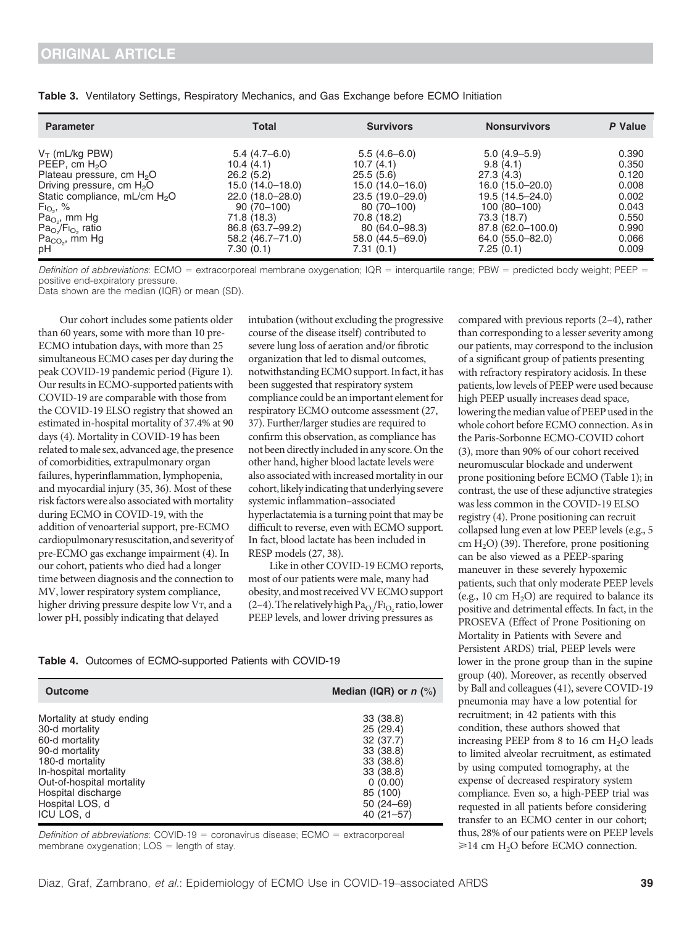| <b>Parameter</b>                          | Total            | <b>Survivors</b> | <b>Nonsurvivors</b> | P Value |
|-------------------------------------------|------------------|------------------|---------------------|---------|
| $V_T$ (mL/kg PBW)                         | $5.4(4.7-6.0)$   | $5.5(4.6-6.0)$   | $5.0(4.9-5.9)$      | 0.390   |
| PEEP, cm H <sub>2</sub> O                 | 10.4(4.1)        | 10.7(4.1)        | 9.8(4.1)            | 0.350   |
| Plateau pressure, cm $H_2O$               | 26.2(5.2)        | 25.5(5.6)        | 27.3(4.3)           | 0.120   |
| Driving pressure, cm $H_2O$               | 15.0 (14.0–18.0) | 15.0 (14.0–16.0) | 16.0 (15.0-20.0)    | 0.008   |
| Static compliance, mL/cm H <sub>2</sub> O | 22.0 (18.0-28.0) | 23.5 (19.0-29.0) | 19.5 (14.5-24.0)    | 0.002   |
| $F_{1O_2}$ , %                            | $90(70-100)$     | $80(70-100)$     | $100(80-100)$       | 0.043   |
| $Pao2$ mm Hg                              | 71.8 (18.3)      | 70.8 (18.2)      | 73.3 (18.7)         | 0.550   |
| $PaO2/F1O2$ ratio                         | 86.8 (63.7-99.2) | 80 (64.0-98.3)   | 87.8 (62.0-100.0)   | 0.990   |
| $Pa_{CO_2}$ , mm Hg                       | 58.2 (46.7-71.0) | 58.0 (44.5-69.0) | 64.0 (55.0-82.0)    | 0.066   |
| pH                                        | 7.30(0.1)        | 7.31 (0.1)       | 7.25(0.1)           | 0.009   |

<span id="page-5-0"></span>

|  |  |  |  | Table 3. Ventilatory Settings, Respiratory Mechanics, and Gas Exchange before ECMO Initiation |  |  |  |  |  |
|--|--|--|--|-----------------------------------------------------------------------------------------------|--|--|--|--|--|
|--|--|--|--|-----------------------------------------------------------------------------------------------|--|--|--|--|--|

Definition of abbreviations: ECMO = extracorporeal membrane oxygenation; IQR = interquartile range; PBW = predicted body weight; PEEP = positive end-expiratory pressure.

Data shown are the median (IQR) or mean (SD).

Our cohort includes some patients older than 60 years, some with more than 10 pre-ECMO intubation days, with more than 25 simultaneous ECMO cases per day during the peak COVID-19 pandemic period [\(Figure 1\)](#page-3-0). Our results in ECMO-supported patients with COVID-19 are comparable with those from the COVID-19 ELSO registry that showed an estimated in-hospital mortality of 37.4% at 90 days [\(4](#page-8-0)). Mortality in COVID-19 has been related to male sex, advanced age, the presence of comorbidities, extrapulmonary organ failures, hyperinflammation, lymphopenia, and myocardial injury [\(35, 36\)](#page-9-0). Most of these risk factors were also associated with mortality during ECMO in COVID-19, with the addition of venoarterial support, pre-ECMO cardiopulmonary resuscitation,and severity of pre-ECMO gas exchange impairment [\(4](#page-8-0)). In our cohort, patients who died had a longer time between diagnosis and the connection to MV, lower respiratory system compliance, higher driving pressure despite low VT, and a lower pH, possibly indicating that delayed

intubation (without excluding the progressive course of the disease itself) contributed to severe lung loss of aeration and/or fibrotic organization that led to dismal outcomes, notwithstanding ECMO support. In fact, it has been suggested that respiratory system compliance could be an important element for respiratory ECMO outcome assessment [\(27](#page-8-0), [37\)](#page-9-0). Further/larger studies are required to confirm this observation, as compliance has not been directly included in any score. On the other hand, higher blood lactate levels were also associated with increased mortality in our cohort, likely indicating that underlying severe systemic inflammation–associated hyperlactatemia is a turning point that may be difficult to reverse, even with ECMO support. In fact, blood lactate has been included in RESP models [\(27,](#page-8-0) [38](#page-9-0)).

Like in other COVID-19 ECMO reports, most of our patients were male, many had obesity, andmost receivedVV ECMO support (2[–](#page-8-0)4). The relatively high  $Pa_{O_2}/Fl_{O_2}$  ratio, lower PEEP levels, and lower driving pressures as

Table 4. Outcomes of ECMO-supported Patients with COVID-19

| <b>Outcome</b>            | Median (IQR) or $n$ (%) |
|---------------------------|-------------------------|
| Mortality at study ending | 33 (38.8)               |
| 30-d mortality            | 25(29.4)                |
| 60-d mortality            | 32 (37.7)               |
| 90-d mortality            | 33 (38.8)               |
| 180-d mortality           | 33 (38.8)               |
| In-hospital mortality     | 33 (38.8)               |
| Out-of-hospital mortality | 0(0.00)                 |
| Hospital discharge        | 85 (100)                |
| Hospital LOS, d           | $50(24 - 69)$           |
| ICU LOS, d                | $40(21 - 57)$           |

Definition of abbreviations:  $COVID-19 =$  coronavirus disease;  $ECMO =$  extracorporeal membrane oxygenation;  $LOS = length of stay$ .

compared with previous reports (2[–](#page-8-0)4), rather than corresponding to a lesser severity among our patients, may correspond to the inclusion of a significant group of patients presenting with refractory respiratory acidosis. In these patients, low levels of PEEP were used because high PEEP usually increases dead space, lowering the median value of PEEP used in the whole cohort before ECMO connection. As in the Paris-Sorbonne ECMO-COVID cohort [\(3\)](#page-8-0), more than 90% of our cohort received neuromuscular blockade and underwent prone positioning before ECMO [\(Table 1\)](#page-2-0); in contrast, the use of these adjunctive strategies was less common in the COVID-19 ELSO registry ([4](#page-8-0)). Prone positioning can recruit collapsed lung even at low PEEP levels (e.g., 5 cm  $H<sub>2</sub>O$  [\(39\)](#page-9-0). Therefore, prone positioning can be also viewed as a PEEP-sparing maneuver in these severely hypoxemic patients, such that only moderate PEEP levels (e.g., 10 cm  $H_2O$ ) are required to balance its positive and detrimental effects. In fact, in the PROSEVA (Effect of Prone Positioning on Mortality in Patients with Severe and Persistent ARDS) trial, PEEP levels were lower in the prone group than in the supine group [\(40\)](#page-9-0). Moreover, as recently observed by Ball and colleagues [\(41\)](#page-9-0), severe COVID-19 pneumonia may have a low potential for recruitment; in 42 patients with this condition, these authors showed that increasing PEEP from 8 to 16 cm  $H_2O$  leads to limited alveolar recruitment, as estimated by using computed tomography, at the expense of decreased respiratory system compliance. Even so, a high-PEEP trial was requested in all patients before considering transfer to an ECMO center in our cohort; thus, 28% of our patients were on PEEP levels  $\geq$ 14 cm H<sub>2</sub>O before ECMO connection.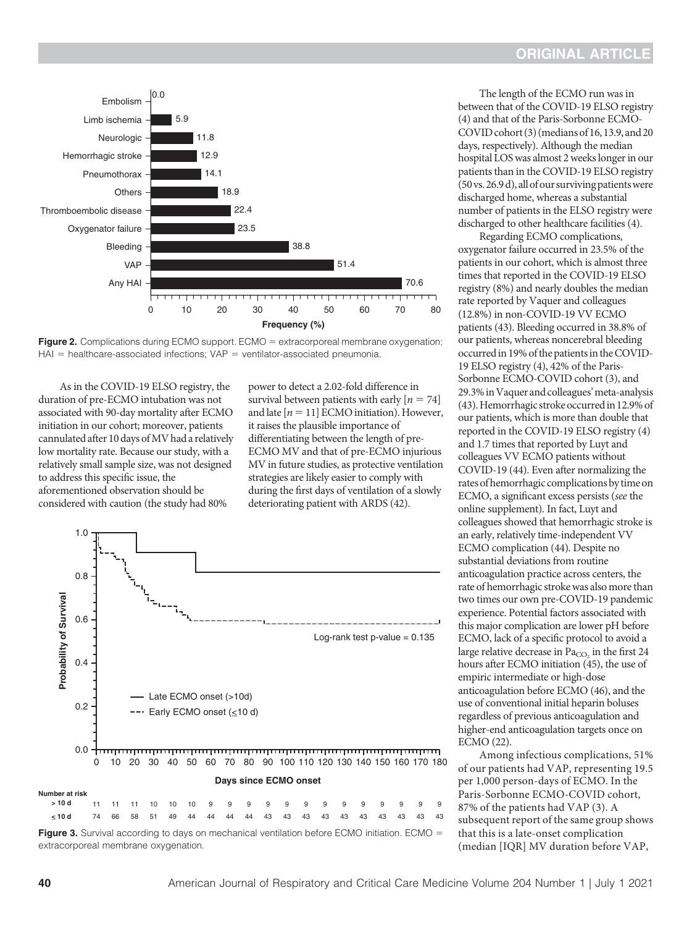<span id="page-6-0"></span>

**Figure 2.** Complications during ECMO support. ECMO  $=$  extracorporeal membrane oxygenation;  $HAI$  = healthcare-associated infections; VAP = ventilator-associated pneumonia.

As in the COVID-19 ELSO registry, the duration of pre-ECMO intubation was not associated with 90-day mortality after ECMO initiation in our cohort; moreover, patients cannulated after 10 days of MV had a relatively low mortality rate. Because our study, with a relatively small sample size, was not designed to address this specific issue, the aforementioned observation should be considered with caution (the study had 80%

power to detect a 2.02-fold difference in survival between patients with early  $[n = 74]$ and late  $[n = 11]$  ECMO initiation). However, it raises the plausible importance of differentiating between the length of pre-ECMO MV and that of pre-ECMO injurious MV in future studies, as protective ventilation strategies are likely easier to comply with during the first days of ventilation of a slowly deteriorating patient with ARDS [\(42\)](#page-9-0).



The length of the ECMO run was in between that of the COVID-19 ELSO registry [\(4\)](#page-8-0) and that of the Paris-Sorbonne ECMO- $COVID$  cohort  $(3)$  $(3)$  (medians of 16, 13.9, and 20 days, respectively). Although the median hospital LOS was almost 2 weeks longer in our patients than in the COVID-19 ELSO registry (50vs.26.9 d),allof our surviving patientswere discharged home, whereas a substantial number of patients in the ELSO registry were discharged to other healthcare facilities ([4](#page-8-0)).

Regarding ECMO complications, oxygenator failure occurred in 23.5% of the patients in our cohort, which is almost three times that reported in the COVID-19 ELSO registry (8%) and nearly doubles the median rate reported by Vaquer and colleagues (12.8%) in non-COVID-19 VV ECMO patients [\(43\)](#page-9-0). Bleeding occurred in 38.8% of our patients, whereas noncerebral bleeding occurred in 19% of the patients in the COVID-19 ELSO registry [\(4](#page-8-0)), 42% of the Paris-Sorbonne ECMO-COVID cohort [\(3](#page-8-0)), and 29.3%inVaquer and colleagues'meta-analysis [\(43](#page-9-0)). Hemorrhagic stroke occurred in 12.9% of our patients, which is more than double that reported in the COVID-19 ELSO registry [\(4\)](#page-8-0) and 1.7 times that reported by Luyt and colleagues VV ECMO patients without COVID-19 ([44](#page-9-0)). Even after normalizing the rates of hemorrhagic complications by time on ECMO, a significant excess persists (see the online supplement). In fact, Luyt and colleagues showed that hemorrhagic stroke is an early, relatively time-independent VV ECMO complication [\(44\)](#page-9-0). Despite no substantial deviations from routine anticoagulation practice across centers, the rate of hemorrhagic stroke was also more than two times our own pre-COVID-19 pandemic experience. Potential factors associated with this major complication are lower pH before ECMO, lack of a specific protocol to avoid a large relative decrease in  $Pa<sub>CO</sub>$  in the first 24 hours after ECMO initiation [\(45\)](#page-9-0), the use of empiric intermediate or high-dose anticoagulation before ECMO [\(46](#page-9-0)), and the use of conventional initial heparin boluses regardless of previous anticoagulation and higher-end anticoagulation targets once on ECMO [\(22\)](#page-8-0).

Among infectious complications, 51% of our patients had VAP, representing 19.5 per 1,000 person-days of ECMO. In the Paris-Sorbonne ECMO-COVID cohort, 87% of the patients had VAP ([3](#page-8-0)). A subsequent report of the same group shows that this is a late-onset complication (median [IQR] MV duration before VAP,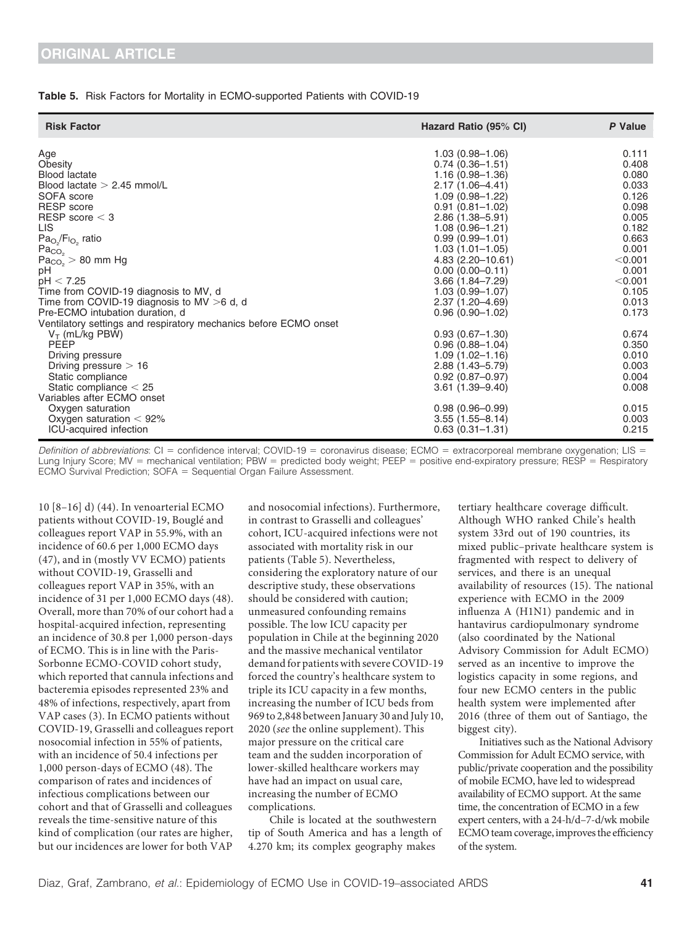#### Table 5. Risk Factors for Mortality in ECMO-supported Patients with COVID-19

| <b>Risk Factor</b>                                               | Hazard Ratio (95% CI) | P Value |
|------------------------------------------------------------------|-----------------------|---------|
| Age                                                              | $1.03(0.98 - 1.06)$   | 0.111   |
| Obesity                                                          | $0.74(0.36 - 1.51)$   | 0.408   |
| <b>Blood lactate</b>                                             | $1.16(0.98 - 1.36)$   | 0.080   |
| Blood lactate $> 2.45$ mmol/L                                    | 2.17 (1.06-4.41)      | 0.033   |
| SOFA score                                                       | $1.09(0.98 - 1.22)$   | 0.126   |
| RESP score                                                       | $0.91(0.81 - 1.02)$   | 0.098   |
| RESP score $<$ 3                                                 | 2.86 (1.38–5.91)      | 0.005   |
| LIS.                                                             | $1.08(0.96 - 1.21)$   | 0.182   |
| $Pa_{O_2}/F_{O_2}$ ratio<br>$Pa_{CO_2}$                          | $0.99(0.99 - 1.01)$   | 0.663   |
|                                                                  | $1.03(1.01 - 1.05)$   | 0.001   |
| $Pa_{CO_2} > 80$ mm Hg                                           | $4.83(2.20 - 10.61)$  | < 0.001 |
| рH                                                               | $0.00(0.00-0.11)$     | 0.001   |
| pH < 7.25                                                        | $3.66(1.84 - 7.29)$   | < 0.001 |
| Time from COVID-19 diagnosis to MV, d                            | $1.03(0.99 - 1.07)$   | 0.105   |
| Time from COVID-19 diagnosis to MV >6 d, d                       | $2.37(1.20 - 4.69)$   | 0.013   |
| Pre-ECMO intubation duration, d                                  | $0.96(0.90 - 1.02)$   | 0.173   |
| Ventilatory settings and respiratory mechanics before ECMO onset |                       |         |
| $V_T$ (mL/kg PBW)                                                | $0.93(0.67 - 1.30)$   | 0.674   |
| PEEP                                                             | $0.96(0.88 - 1.04)$   | 0.350   |
| Driving pressure                                                 | $1.09(1.02 - 1.16)$   | 0.010   |
| Driving pressure $> 16$                                          | 2.88 (1.43-5.79)      | 0.003   |
| Static compliance                                                | $0.92(0.87 - 0.97)$   | 0.004   |
| Static compliance $<$ 25                                         | $3.61(1.39 - 9.40)$   | 0.008   |
| Variables after ECMO onset                                       |                       |         |
| Oxygen saturation                                                | $0.98(0.96 - 0.99)$   | 0.015   |
| Oxygen saturation $< 92\%$                                       | $3.55(1.55 - 8.14)$   | 0.003   |
| ICU-acquired infection                                           | $0.63(0.31 - 1.31)$   | 0.215   |

Definition of abbreviations:  $Cl =$  confidence interval; COVID-19 = coronavirus disease; ECMO = extracorporeal membrane oxygenation; LIS = Lung Injury Score; MV = mechanical ventilation; PBW = predicted body weight; PEEP = positive end-expiratory pressure; RESP = Respiratory  $ECMO$  Survival Prediction;  $SOFA = Sequential$  Organ Failure Assessment.

10 [8–16] d) [\(44\)](#page-9-0). In venoarterial ECMO patients without COVID-19, Bouglé and colleagues report VAP in 55.9%, with an incidence of 60.6 per 1,000 ECMO days ([47](#page-9-0)), and in (mostly VV ECMO) patients without COVID-19, Grasselli and colleagues report VAP in 35%, with an incidence of 31 per 1,000 ECMO days ([48\)](#page-9-0). Overall, more than 70% of our cohort had a hospital-acquired infection, representing an incidence of 30.8 per 1,000 person-days of ECMO. This is in line with the Paris-Sorbonne ECMO-COVID cohort study, which reported that cannula infections and bacteremia episodes represented 23% and 48% of infections, respectively, apart from VAP cases [\(3](#page-8-0)). In ECMO patients without COVID-19, Grasselli and colleagues report nosocomial infection in 55% of patients, with an incidence of 50.4 infections per 1,000 person-days of ECMO ([48\)](#page-9-0). The comparison of rates and incidences of infectious complications between our cohort and that of Grasselli and colleagues reveals the time-sensitive nature of this kind of complication (our rates are higher, but our incidences are lower for both VAP

and nosocomial infections). Furthermore, in contrast to Grasselli and colleagues' cohort, ICU-acquired infections were not associated with mortality risk in our patients (Table 5). Nevertheless, considering the exploratory nature of our descriptive study, these observations should be considered with caution; unmeasured confounding remains possible. The low ICU capacity per population in Chile at the beginning 2020 and the massive mechanical ventilator demand for patients with severe COVID-19 forced the country's healthcare system to triple its ICU capacity in a few months, increasing the number of ICU beds from 969 to 2,848 between January 30 and July 10, 2020 (see the online supplement). This major pressure on the critical care team and the sudden incorporation of lower-skilled healthcare workers may have had an impact on usual care, increasing the number of ECMO complications.

Chile is located at the southwestern tip of South America and has a length of 4.270 km; its complex geography makes

tertiary healthcare coverage difficult. Although WHO ranked Chile's health system 33rd out of 190 countries, its mixed public–private healthcare system is fragmented with respect to delivery of services, and there is an unequal availability of resources [\(15](#page-8-0)). The national experience with ECMO in the 2009 influenza A (H1N1) pandemic and in hantavirus cardiopulmonary syndrome (also coordinated by the National Advisory Commission for Adult ECMO) served as an incentive to improve the logistics capacity in some regions, and four new ECMO centers in the public health system were implemented after 2016 (three of them out of Santiago, the biggest city).

Initiatives such as the National Advisory Commission for Adult ECMO service, with public/private cooperation and the possibility of mobile ECMO, have led to widespread availability of ECMO support. At the same time, the concentration of ECMO in a few expert centers, with a 24-h/d–7-d/wk mobile ECMO team coverage, improves the efficiency of the system.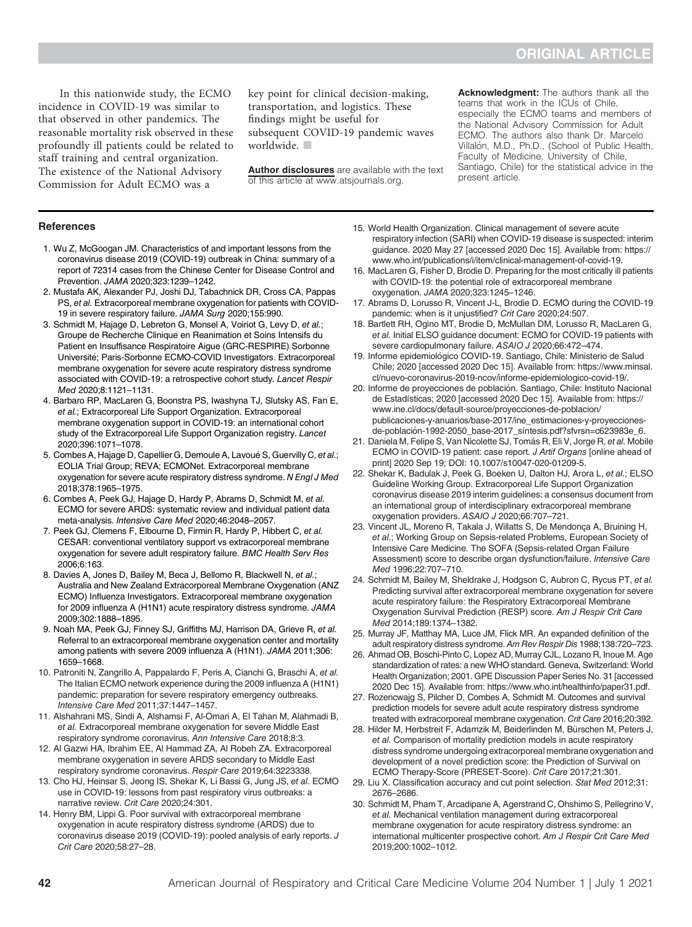<span id="page-8-0"></span>In this nationwide study, the ECMO incidence in COVID-19 was similar to that observed in other pandemics. The reasonable mortality risk observed in these profoundly ill patients could be related to staff training and central organization. The existence of the National Advisory Commission for Adult ECMO was a

key point for clinical decision-making, transportation, and logistics. These findings might be useful for subsequent COVID-19 pandemic waves worldwide.

[Author disclosures](http://www.atsjournals.org/doi/suppl/10.1164/rccm.202011-4166OC/suppl_file/disclosures.pdf) are available with the text of this article at [www.atsjournals.org](http://www.atsjournals.org).

Acknowledgment: The authors thank all the teams that work in the ICUs of Chile, especially the ECMO teams and members of the National Advisory Commission for Adult ECMO. The authors also thank Dr. Marcelo Villalón, M.D., Ph.D., (School of Public Health, Faculty of Medicine, University of Chile, Santiago, Chile) for the statistical advice in the present article.

#### **References**

- 1. Wu Z, McGoogan JM. Characteristics of and important lessons from the coronavirus disease 2019 (COVID-19) outbreak in China: summary of a report of 72314 cases from the Chinese Center for Disease Control and Prevention. JAMA 2020;323:1239–1242.
- 2. Mustafa AK, Alexander PJ, Joshi DJ, Tabachnick DR, Cross CA, Pappas PS, et al. Extracorporeal membrane oxygenation for patients with COVID-19 in severe respiratory failure. JAMA Surg 2020;155:990.
- 3. Schmidt M, Hajage D, Lebreton G, Monsel A, Voiriot G, Levy D, et al.; Groupe de Recherche Clinique en Reanimation et Soins Intensifs du Patient en Insuffisance Respiratoire Aigue (GRC-RESPIRE) Sorbonne Universite; Paris-Sorbonne ECMO-COVID Investigators. Extracorporeal membrane oxygenation for severe acute respiratory distress syndrome associated with COVID-19: a retrospective cohort study. Lancet Respir Med 2020;8:1121–1131.
- 4. Barbaro RP, MacLaren G, Boonstra PS, Iwashyna TJ, Slutsky AS, Fan E, et al.; Extracorporeal Life Support Organization. Extracorporeal membrane oxygenation support in COVID-19: an international cohort study of the Extracorporeal Life Support Organization registry. Lancet 2020;396:1071–1078.
- 5. Combes A, Hajage D, Capellier G, Demoule A, Lavoué S, Guervilly C, et al.; EOLIA Trial Group; REVA; ECMONet. Extracorporeal membrane oxygenation for severe acute respiratory distress syndrome. N Engl J Med 2018;378:1965–1975.
- 6. Combes A, Peek GJ, Hajage D, Hardy P, Abrams D, Schmidt M, et al. ECMO for severe ARDS: systematic review and individual patient data meta-analysis. Intensive Care Med 2020;46:2048–2057.
- 7. Peek GJ, Clemens F, Elbourne D, Firmin R, Hardy P, Hibbert C, et al. CESAR: conventional ventilatory support vs extracorporeal membrane oxygenation for severe adult respiratory failure. BMC Health Serv Res 2006;6:163.
- 8. Davies A, Jones D, Bailey M, Beca J, Bellomo R, Blackwell N, et al.; Australia and New Zealand Extracorporeal Membrane Oxygenation (ANZ ECMO) Influenza Investigators. Extracorporeal membrane oxygenation for 2009 influenza A (H1N1) acute respiratory distress syndrome. JAMA 2009;302:1888–1895.
- 9. Noah MA, Peek GJ, Finney SJ, Griffiths MJ, Harrison DA, Grieve R, et al. Referral to an extracorporeal membrane oxygenation center and mortality among patients with severe 2009 influenza A (H1N1). JAMA 2011;306: 1659–1668.
- 10. Patroniti N, Zangrillo A, Pappalardo F, Peris A, Cianchi G, Braschi A, et al. The Italian ECMO network experience during the 2009 influenza A (H1N1) pandemic: preparation for severe respiratory emergency outbreaks. Intensive Care Med 2011;37:1447–1457.
- 11. Alshahrani MS, Sindi A, Alshamsi F, Al-Omari A, El Tahan M, Alahmadi B, et al. Extracorporeal membrane oxygenation for severe Middle East respiratory syndrome coronavirus. Ann Intensive Care 2018;8:3.
- 12. Al Gazwi HA, Ibrahim EE, Al Hammad ZA, Al Robeh ZA. Extracorporeal membrane oxygenation in severe ARDS secondary to Middle East respiratory syndrome coronavirus. Respir Care 2019;64:3223338.
- 13. Cho HJ, Heinsar S, Jeong IS, Shekar K, Li Bassi G, Jung JS, et al. ECMO use in COVID-19: lessons from past respiratory virus outbreaks: a narrative review. Crit Care 2020;24:301.
- 14. Henry BM, Lippi G. Poor survival with extracorporeal membrane oxygenation in acute respiratory distress syndrome (ARDS) due to coronavirus disease 2019 (COVID-19): pooled analysis of early reports. J Crit Care 2020;58:27–28.
- 15. World Health Organization. Clinical management of severe acute respiratory infection (SARI) when COVID-19 disease is suspected: interim guidance. 2020 May 27 [accessed 2020 Dec 15]. Available from: [https://](https://www.who.int/publications/i/item/clinical-management-of-covid-19) [www.who.int/publications/i/item/clinical-management-of-covid-19.](https://www.who.int/publications/i/item/clinical-management-of-covid-19)
- 16. MacLaren G, Fisher D, Brodie D. Preparing for the most critically ill patients with COVID-19: the potential role of extracorporeal membrane oxygenation. JAMA 2020;323:1245–1246.
- 17. Abrams D, Lorusso R, Vincent J-L, Brodie D. ECMO during the COVID-19 pandemic: when is it unjustified? Crit Care 2020;24:507.
- 18. Bartlett RH, Ogino MT, Brodie D, McMullan DM, Lorusso R, MacLaren G, et al. Initial ELSO guidance document: ECMO for COVID-19 patients with severe cardiopulmonary failure. ASAIO J 2020;66:472–474.
- 19. Informe epidemiológico COVID-19. Santiago, Chile: Ministerio de Salud Chile; 2020 [accessed 2020 Dec 15]. Available from: [https://www.minsal.](https://www.minsal.cl/nuevo-coronavirus-2019-ncov/informe-epidemiologico-covid-19/) [cl/nuevo-coronavirus-2019-ncov/informe-epidemiologico-covid-19/.](https://www.minsal.cl/nuevo-coronavirus-2019-ncov/informe-epidemiologico-covid-19/)
- 20. Informe de proyecciones de población. Santiago, Chile: Instituto Nacional de Estadísticas; 2020 [accessed 2020 Dec 15]. Available from: [https://](https://www.ine.cl/docs/default-source/proyecciones-de-poblacion/publicaciones-y-anuarios/base-2017/ine_estimaciones-y-proyecciones-de-poblaci&hx00F3;n-1992-2050_base-2017_s&hx00ED;ntesis.pdf?sfvrsn&hx003D;c623983e_6) [www.ine.cl/docs/default-source/proyecciones-de-poblacion/](https://www.ine.cl/docs/default-source/proyecciones-de-poblacion/publicaciones-y-anuarios/base-2017/ine_estimaciones-y-proyecciones-de-poblaci&hx00F3;n-1992-2050_base-2017_s&hx00ED;ntesis.pdf?sfvrsn&hx003D;c623983e_6) [publicaciones-y-anuarios/base-2017/ine\\_estimaciones-y-proyecciones](https://www.ine.cl/docs/default-source/proyecciones-de-poblacion/publicaciones-y-anuarios/base-2017/ine_estimaciones-y-proyecciones-de-poblaci&hx00F3;n-1992-2050_base-2017_s&hx00ED;ntesis.pdf?sfvrsn&hx003D;c623983e_6)de-población-1992-2050\_base-2017\_síntesis.pdf?sfvrsn=c623983e\_6.
- 21. Daniela M, Felipe S, Van Nicolette SJ, Tomás R, Eli V, Jorge R, et al. Mobile ECMO in COVID-19 patient: case report. J Artif Organs [online ahead of print] 2020 Sep 19; DOI: [10.1007/s10047-020-01209-5.](10.1007/s10047-020-01209-5)
- 22. Shekar K, Badulak J, Peek G, Boeken U, Dalton HJ, Arora L, et al.; ELSO Guideline Working Group. Extracorporeal Life Support Organization coronavirus disease 2019 interim guidelines: a consensus document from an international group of interdisciplinary extracorporeal membrane oxygenation providers. ASAIO J 2020;66:707–721.
- 23. Vincent JL, Moreno R, Takala J, Willatts S, De Mendonça A, Bruining H, et al.; Working Group on Sepsis-related Problems, European Society of Intensive Care Medicine. The SOFA (Sepsis-related Organ Failure Assessment) score to describe organ dysfunction/failure. Intensive Care Med 1996;22:707–710.
- 24. Schmidt M, Bailey M, Sheldrake J, Hodgson C, Aubron C, Rycus PT, et al. Predicting survival after extracorporeal membrane oxygenation for severe acute respiratory failure: the Respiratory Extracorporeal Membrane Oxygenation Survival Prediction (RESP) score. Am J Respir Crit Care Med 2014;189:1374–1382.
- 25. Murray JF, Matthay MA, Luce JM, Flick MR. An expanded definition of the adult respiratory distress syndrome.Am Rev Respir Dis 1988;138:720–723.
- 26. Ahmad OB, Boschi-Pinto C, Lopez AD, Murray CJL, Lozano R, Inoue M. Age standardization of rates: a new WHO standard. Geneva, Switzerland: World Health Organization; 2001. GPE Discussion Paper Series No. 31 [accessed 2020 Dec 15]. Available from: [https://www.who.int/healthinfo/paper31.pdf.](https://www.who.int/healthinfo/paper31.pdf)
- 27. Rozencwajg S, Pilcher D, Combes A, Schmidt M. Outcomes and survival prediction models for severe adult acute respiratory distress syndrome treated with extracorporeal membrane oxygenation. Crit Care 2016;20:392.
- 28. Hilder M, Herbstreit F, Adamzik M, Beiderlinden M, Bürschen M, Peters J, et al. Comparison of mortality prediction models in acute respiratory distress syndrome undergoing extracorporeal membrane oxygenation and development of a novel prediction score: the Prediction of Survival on ECMO Therapy-Score (PRESET-Score). Crit Care 2017;21:301.
- 29. Liu X. Classification accuracy and cut point selection. Stat Med 2012;31: 2676–2686.
- 30. Schmidt M, Pham T, Arcadipane A, Agerstrand C, Ohshimo S, Pellegrino V, et al. Mechanical ventilation management during extracorporeal membrane oxygenation for acute respiratory distress syndrome: an international multicenter prospective cohort. Am J Respir Crit Care Med 2019;200:1002–1012.